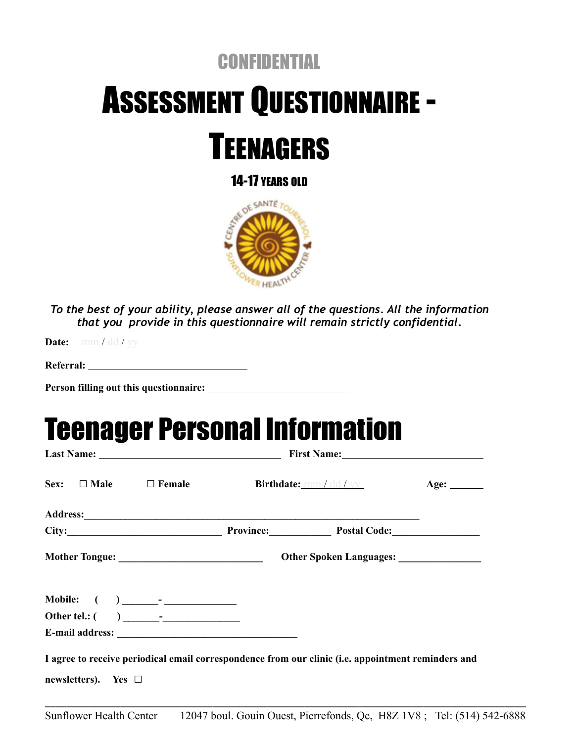### **CONFIDENTIAL**

# ASSESSMENT QUESTIONNAIRE -



14-17 YEARS OLD



*To the best of your ability, please answer all of the questions. All the information that you provide in this questionnaire will remain strictly confidential.*

**Date:** mm / dd / yy

**Person filling out this questionnaire:** 

### Teenager Personal Information

| Sex: $\Box$ Male $\Box$ Female |  | Birthdate: <u>mm / dd / yy</u>                                                                                                                                                                                                | Age: $\_\_$ |
|--------------------------------|--|-------------------------------------------------------------------------------------------------------------------------------------------------------------------------------------------------------------------------------|-------------|
|                                |  |                                                                                                                                                                                                                               |             |
|                                |  | City: City: City: City: City: City: City: City: City: City: City: City: City: City: City: City: City: City: City: City: City: City: City: City: City: City: City: City: City: City: City: City: City: City: City: City: City: |             |
|                                |  |                                                                                                                                                                                                                               |             |
|                                |  |                                                                                                                                                                                                                               |             |
|                                |  |                                                                                                                                                                                                                               |             |
|                                |  |                                                                                                                                                                                                                               |             |
|                                |  |                                                                                                                                                                                                                               |             |
|                                |  | I agree to receive periodical email correspondence from our clinic (i.e. appointment reminders and                                                                                                                            |             |
| newsletters). Yes $\Box$       |  |                                                                                                                                                                                                                               |             |
|                                |  |                                                                                                                                                                                                                               |             |

Sunflower Health Center 12047 boul. Gouin Ouest, Pierrefonds, Qc, H8Z 1V8 ; Tel: (514) 542-6888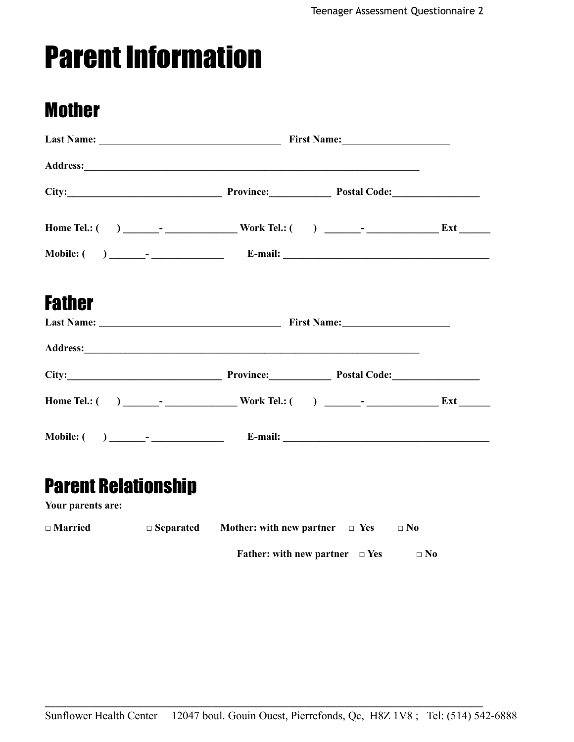## Parent Information

### Mother

| City: City: City: City: City: City: City: City: City: City: City: City: City: City: City: City: City: City: City: City: City: City: City: City: City: City: City: City: City: City: City: City: City: City: City: City: City: |  |  |  |  |  |  |
|-------------------------------------------------------------------------------------------------------------------------------------------------------------------------------------------------------------------------------|--|--|--|--|--|--|
|                                                                                                                                                                                                                               |  |  |  |  |  |  |
|                                                                                                                                                                                                                               |  |  |  |  |  |  |
| <b>Father</b>                                                                                                                                                                                                                 |  |  |  |  |  |  |
|                                                                                                                                                                                                                               |  |  |  |  |  |  |
|                                                                                                                                                                                                                               |  |  |  |  |  |  |
| City: City: City: City: City: City: City: City: City: City: City: City: City: City: City: City: City: City: City: City: City: City: City: City: City: City: City: City: City: City: City: City: City: City: City: City: City: |  |  |  |  |  |  |
|                                                                                                                                                                                                                               |  |  |  |  |  |  |
|                                                                                                                                                                                                                               |  |  |  |  |  |  |
| <b>Parent Relationship</b><br>Your parents are:                                                                                                                                                                               |  |  |  |  |  |  |

| $\square$ Married | $\Box$ Separated | Mother: with new partner $\Box$ Yes        | $\Box$ No |
|-------------------|------------------|--------------------------------------------|-----------|
|                   |                  | <b>Father:</b> with new partner $\Box$ Yes | $\Box$ No |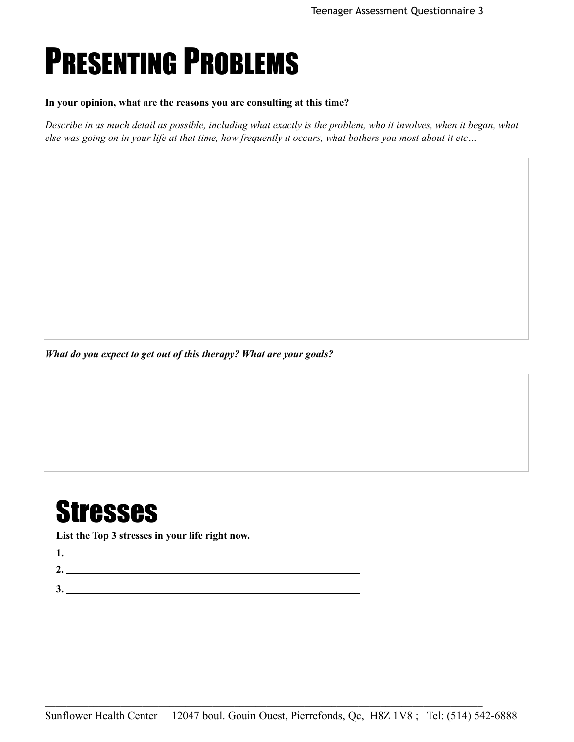## PRESENTING PROBLEMS

#### **In your opinion, what are the reasons you are consulting at this time?**

*Describe in as much detail as possible, including what exactly is the problem, who it involves, when it began, what else was going on in your life at that time, how frequently it occurs, what bothers you most about it etc…*

*What do you expect to get out of this therapy? What are your goals?*

### **Stresses**

**List the Top 3 stresses in your life right now.**

**1.** 

- **2.**
- **3.**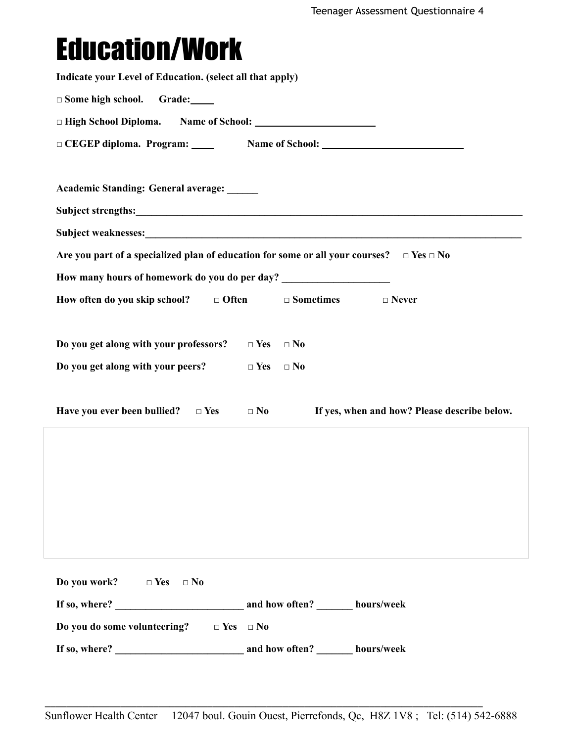## Education/Work

| Indicate your Level of Education. (select all that apply)                        |                                                                                                    |  |  |  |  |  |
|----------------------------------------------------------------------------------|----------------------------------------------------------------------------------------------------|--|--|--|--|--|
| $\Box$ Some high school.<br>Grade:                                               |                                                                                                    |  |  |  |  |  |
|                                                                                  |                                                                                                    |  |  |  |  |  |
|                                                                                  |                                                                                                    |  |  |  |  |  |
|                                                                                  |                                                                                                    |  |  |  |  |  |
| Academic Standing: General average: _____                                        |                                                                                                    |  |  |  |  |  |
|                                                                                  |                                                                                                    |  |  |  |  |  |
|                                                                                  |                                                                                                    |  |  |  |  |  |
|                                                                                  | Are you part of a specialized plan of education for some or all your courses? $\Box$ Yes $\Box$ No |  |  |  |  |  |
| How many hours of homework do you do per day? __________________________________ |                                                                                                    |  |  |  |  |  |
| How often do you skip school? $\Box$ Often                                       | $\Box$ Sometimes<br>$\Box$ Never                                                                   |  |  |  |  |  |
|                                                                                  |                                                                                                    |  |  |  |  |  |
| Do you get along with your professors?                                           | $\Box$ Yes $\Box$ No                                                                               |  |  |  |  |  |
| Do you get along with your peers?                                                | $\Box$ Yes<br>$\square$<br>No                                                                      |  |  |  |  |  |
|                                                                                  |                                                                                                    |  |  |  |  |  |
| Have you ever been bullied? $\square$ Yes                                        | If yes, when and how? Please describe below.<br>$\Box$ No                                          |  |  |  |  |  |
|                                                                                  |                                                                                                    |  |  |  |  |  |
|                                                                                  |                                                                                                    |  |  |  |  |  |
|                                                                                  |                                                                                                    |  |  |  |  |  |
|                                                                                  |                                                                                                    |  |  |  |  |  |
|                                                                                  |                                                                                                    |  |  |  |  |  |
|                                                                                  |                                                                                                    |  |  |  |  |  |
| Do you work? $\square$ Yes<br>$\Box$ No                                          |                                                                                                    |  |  |  |  |  |
|                                                                                  |                                                                                                    |  |  |  |  |  |
| Do you do some volunteering? $\Box$ Yes $\Box$ No                                |                                                                                                    |  |  |  |  |  |
|                                                                                  |                                                                                                    |  |  |  |  |  |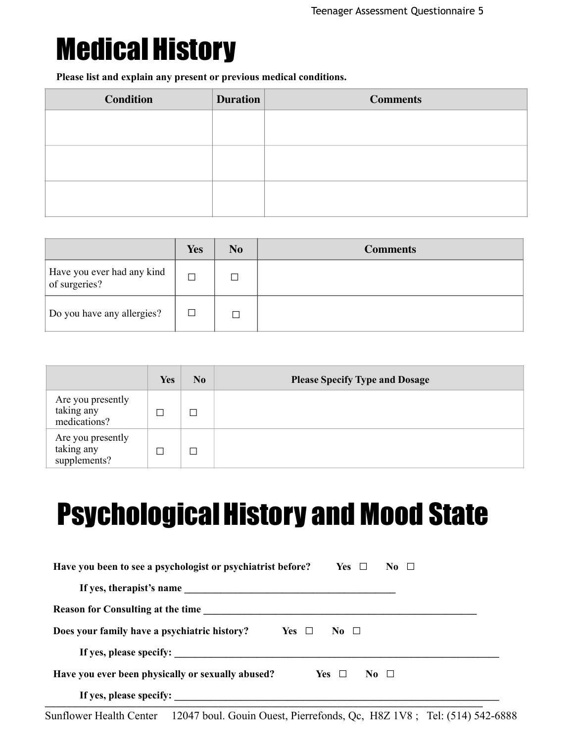### Medical History

**Please list and explain any present or previous medical conditions.**

| <b>Condition</b> | <b>Duration</b> | <b>Comments</b> |
|------------------|-----------------|-----------------|
|                  |                 |                 |
|                  |                 |                 |
|                  |                 |                 |
|                  |                 |                 |
|                  |                 |                 |
|                  |                 |                 |

|                                             | Yes | No | <b>Comments</b> |
|---------------------------------------------|-----|----|-----------------|
| Have you ever had any kind<br>of surgeries? |     | П  |                 |
| Do you have any allergies?                  |     |    |                 |

|                                                 | <b>Yes</b> | No | <b>Please Specify Type and Dosage</b> |
|-------------------------------------------------|------------|----|---------------------------------------|
| Are you presently<br>taking any<br>medications? |            |    |                                       |
| Are you presently<br>taking any<br>supplements? |            |    |                                       |

### **Psychological History and Mood State**

| Have you been to see a psychologist or psychiatrist before?<br>Yes $\Box$<br>No $\square$ |
|-------------------------------------------------------------------------------------------|
|                                                                                           |
| <b>Reason for Consulting at the time</b>                                                  |
| Does your family have a psychiatric history?<br>Yes $\Box$<br>No $\Box$                   |
| If yes, please specify:                                                                   |
| Have you ever been physically or sexually abused?<br>Yes $\Box$<br>No Ll                  |
| If yes, please specify:                                                                   |

Sunflower Health Center 12047 boul. Gouin Ouest, Pierrefonds, Qc, H8Z 1V8 ; Tel: (514) 542-6888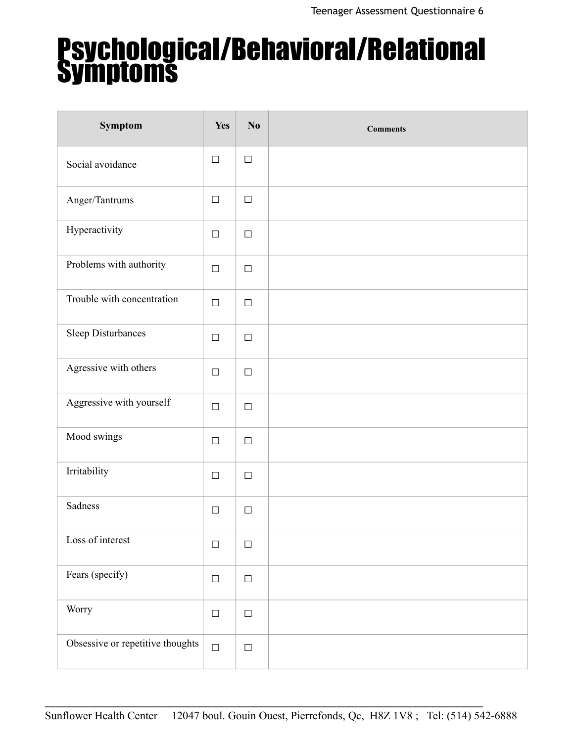# Psychological/Behavioral/Relational Symptoms

| Symptom                          | Yes    | No     | <b>Comments</b> |
|----------------------------------|--------|--------|-----------------|
| Social avoidance                 | $\Box$ | $\Box$ |                 |
| Anger/Tantrums                   | $\Box$ | $\Box$ |                 |
| Hyperactivity                    | $\Box$ | $\Box$ |                 |
| Problems with authority          | $\Box$ | $\Box$ |                 |
| Trouble with concentration       | $\Box$ | $\Box$ |                 |
| Sleep Disturbances               | $\Box$ | $\Box$ |                 |
| Agressive with others            | $\Box$ | $\Box$ |                 |
| Aggressive with yourself         | $\Box$ | $\Box$ |                 |
| Mood swings                      | $\Box$ | $\Box$ |                 |
| Irritability                     | $\Box$ | $\Box$ |                 |
| Sadness                          | $\Box$ | $\Box$ |                 |
| Loss of interest                 | $\Box$ | $\Box$ |                 |
| Fears (specify)                  | $\Box$ | $\Box$ |                 |
| Worry                            | $\Box$ | $\Box$ |                 |
| Obsessive or repetitive thoughts | $\Box$ | $\Box$ |                 |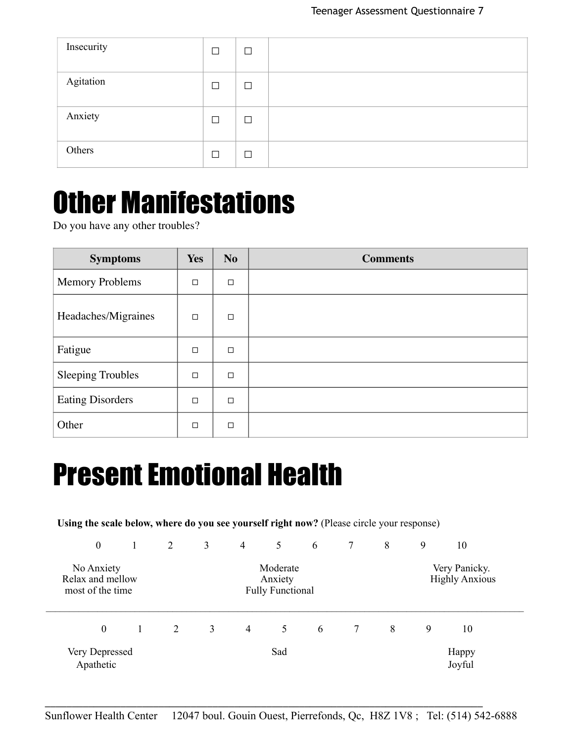| Insecurity | $\Box$ | $\Box$ |  |
|------------|--------|--------|--|
| Agitation  | $\Box$ | $\Box$ |  |
| Anxiety    | П      | $\Box$ |  |
| Others     | П      | $\Box$ |  |

### Other Manifestations

Do you have any other troubles?

| <b>Symptoms</b>          | <b>Yes</b> | <b>No</b> | <b>Comments</b> |
|--------------------------|------------|-----------|-----------------|
| <b>Memory Problems</b>   | $\Box$     | $\Box$    |                 |
| Headaches/Migraines      | $\Box$     | $\Box$    |                 |
| Fatigue                  | $\Box$     | □         |                 |
| <b>Sleeping Troubles</b> | $\Box$     | $\Box$    |                 |
| <b>Eating Disorders</b>  | $\Box$     | $\Box$    |                 |
| Other                    | $\Box$     | $\Box$    |                 |

### Present Emotional Health

**Using the scale below, where do you see yourself right now?** (Please circle your response)

| $\mathbf{0}$                                       | 2 | 3              | $\overline{4}$ | 5                                              | 6 | 7 | 8 | 9 | 10                                     |  |
|----------------------------------------------------|---|----------------|----------------|------------------------------------------------|---|---|---|---|----------------------------------------|--|
| No Anxiety<br>Relax and mellow<br>most of the time |   |                |                | Moderate<br>Anxiety<br><b>Fully Functional</b> |   |   |   |   | Very Panicky.<br><b>Highly Anxious</b> |  |
| $\boldsymbol{0}$                                   | 2 | 3 <sup>1</sup> | 4              | 5                                              | 6 | 7 | 8 | 9 | 10                                     |  |
| Very Depressed<br>Apathetic                        |   |                |                | Sad                                            |   |   |   |   | Happy<br>Joyful                        |  |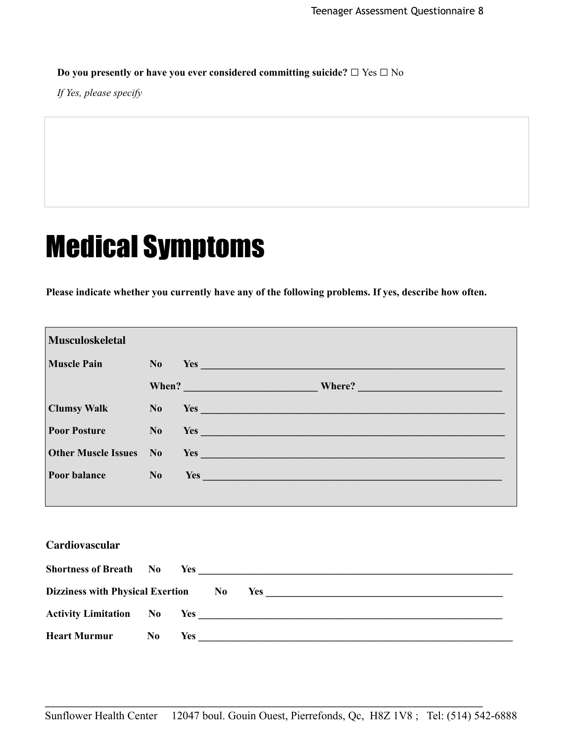**Do you presently or have you ever considered committing suicide? □** Yes **□** No

*If Yes, please specify* 

### Medical Symptoms

**Please indicate whether you currently have any of the following problems. If yes, describe how often.**

| <b>Musculoskeletal</b>     |                |                                                                                                                                                                                                                                |
|----------------------------|----------------|--------------------------------------------------------------------------------------------------------------------------------------------------------------------------------------------------------------------------------|
| <b>Muscle Pain</b>         |                | $No$ Yes $\_\_$                                                                                                                                                                                                                |
|                            |                |                                                                                                                                                                                                                                |
| <b>Clumsy Walk</b>         |                |                                                                                                                                                                                                                                |
| <b>Poor Posture</b>        |                | $\mathbf{No}$ Yes $\Box$                                                                                                                                                                                                       |
| <b>Other Muscle Issues</b> | N <sub>0</sub> | $Yes_$                                                                                                                                                                                                                         |
| Poor balance               | N <sub>0</sub> | Yes experience and the contract of the contract of the contract of the contract of the contract of the contract of the contract of the contract of the contract of the contract of the contract of the contract of the contrac |
|                            |                |                                                                                                                                                                                                                                |
|                            |                |                                                                                                                                                                                                                                |
| Cardiovascular             |                |                                                                                                                                                                                                                                |
|                            |                |                                                                                                                                                                                                                                |
|                            |                |                                                                                                                                                                                                                                |
|                            |                |                                                                                                                                                                                                                                |
| <b>Heart Murmur</b>        |                |                                                                                                                                                                                                                                |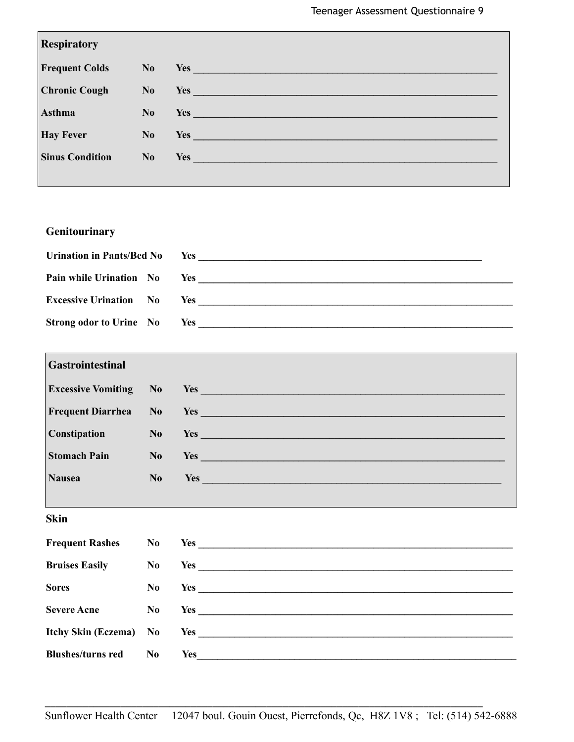| <b>Respiratory</b>     |                |                                                                                                                                                                                                                                      |
|------------------------|----------------|--------------------------------------------------------------------------------------------------------------------------------------------------------------------------------------------------------------------------------------|
| <b>Frequent Colds</b>  | N <sub>o</sub> | Yes and the contract of the contract of the contract of the contract of the contract of the contract of the contract of the contract of the contract of the contract of the contract of the contract of the contract of the co       |
| <b>Chronic Cough</b>   | No             | Yes experience and the second contract of the second second contract of the second second contract of the second second second second second second second second second second second second second second second second seco       |
| <b>Asthma</b>          | No             | Yes <b>Executive Service Service Service Service Service Service Service Service Service Service Service Service</b>                                                                                                                 |
| <b>Hay Fever</b>       | No             | Yes <b>Shipman and Shipman and Shipman and Shipman and Shipman and Shipman and Shipman and Shipman and Shipman and Shipman and Shipman and Shipman and Shipman and Shipman and Shipman and Shipman and Shipman and Shipman and S</b> |
| <b>Sinus Condition</b> | No             | Yes and the contract of the contract of the contract of the contract of the contract of the contract of the contract of the contract of the contract of the contract of the contract of the contract of the contract of the co       |
|                        |                |                                                                                                                                                                                                                                      |

#### **Genitourinary**

| <b>Urination in Pants/Bed No</b> | Yes                                |
|----------------------------------|------------------------------------|
|                                  | <b>Pain while Urination No</b> Yes |
| <b>Excessive Urination</b> No    | Yes                                |
| <b>Strong odor to Urine</b> No   | Yes                                |

| <b>Gastrointestinal</b>   |                |                                                                                                                                                                                                                                |
|---------------------------|----------------|--------------------------------------------------------------------------------------------------------------------------------------------------------------------------------------------------------------------------------|
| <b>Excessive Vomiting</b> | N <sub>0</sub> | Yes experience and the second contract of the second contract of the second contract of the second contract of the second contract of the second contract of the second contract of the second contract of the second contract |
| <b>Frequent Diarrhea</b>  | N <sub>0</sub> | Yes and the contract of the contract of the contract of the contract of the contract of the contract of the contract of the contract of the contract of the contract of the contract of the contract of the contract of the co |
| Constipation              | N <sub>0</sub> | Yes and the contract of the contract of the contract of the contract of the contract of the contract of the contract of the contract of the contract of the contract of the contract of the contract of the contract of the co |
| <b>Stomach Pain</b>       | No.            | Yes and the contract of the contract of the contract of the contract of the contract of the contract of the contract of the contract of the contract of the contract of the contract of the contract of the contract of the co |
| <b>Nausea</b>             | No             | <b>Yes Executive Section 2008</b>                                                                                                                                                                                              |
|                           |                |                                                                                                                                                                                                                                |

#### **Skin**

Г

| <b>Frequent Rashes</b>   | No             |     |
|--------------------------|----------------|-----|
| <b>Bruises Easily</b>    | $\bf No$       |     |
| <b>Sores</b>             | N <sub>0</sub> |     |
| <b>Severe Acne</b>       | No             | Yes |
|                          |                |     |
| <b>Blushes/turns red</b> | No.            | Yes |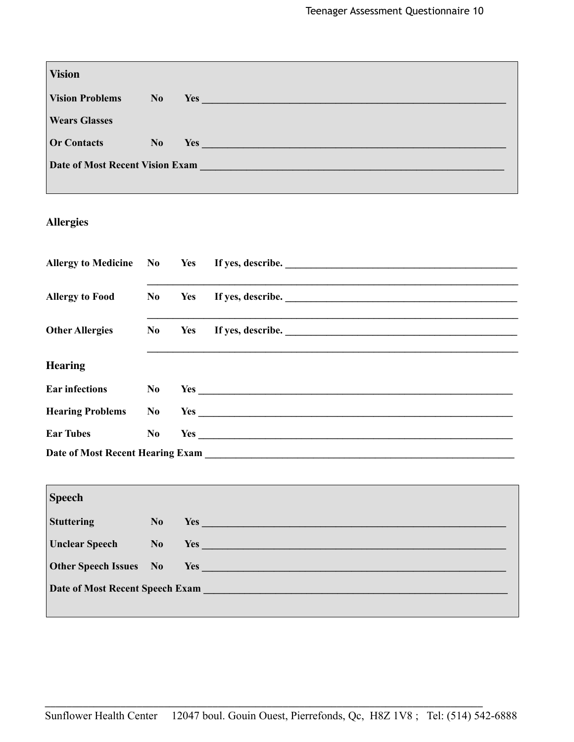| <b>Vision</b>                          |                |  |     |                                                                                                                                                                                                                                |  |
|----------------------------------------|----------------|--|-----|--------------------------------------------------------------------------------------------------------------------------------------------------------------------------------------------------------------------------------|--|
| <b>Vision Problems</b>                 | N <sub>0</sub> |  | Yes |                                                                                                                                                                                                                                |  |
| <b>Wears Glasses</b>                   |                |  |     |                                                                                                                                                                                                                                |  |
| <b>Or Contacts</b>                     | N <sub>0</sub> |  |     | Yes and the contract of the contract of the contract of the contract of the contract of the contract of the contract of the contract of the contract of the contract of the contract of the contract of the contract of the co |  |
| <b>Date of Most Recent Vision Exam</b> |                |  |     | a sa kabilang pangalang sa pangalang sa pangalang na pangalang sa pangalang sa pangalang sa pangalang sa pang                                                                                                                  |  |
|                                        |                |  |     |                                                                                                                                                                                                                                |  |

#### **Allergies**

|                         |                |     | Allergy to Medicine No Yes If yes, describe.                                                                                                                                                                                   |
|-------------------------|----------------|-----|--------------------------------------------------------------------------------------------------------------------------------------------------------------------------------------------------------------------------------|
|                         |                |     |                                                                                                                                                                                                                                |
| <b>Allergy to Food</b>  | No             | Yes |                                                                                                                                                                                                                                |
|                         |                |     |                                                                                                                                                                                                                                |
| <b>Other Allergies</b>  | $\bf{No}$      |     | Yes If yes, describe.                                                                                                                                                                                                          |
|                         |                |     |                                                                                                                                                                                                                                |
| <b>Hearing</b>          |                |     |                                                                                                                                                                                                                                |
| <b>Ear infections</b>   | $\bf No$       |     |                                                                                                                                                                                                                                |
| <b>Hearing Problems</b> | N <sub>0</sub> |     | Yes                                                                                                                                                                                                                            |
| <b>Ear Tubes</b>        | N <sub>0</sub> |     | Yes and the same state of the same state of the same state of the same state of the same state of the same state of the same state of the same state of the same state of the same state of the same state of the same state o |
|                         |                |     |                                                                                                                                                                                                                                |
|                         |                |     |                                                                                                                                                                                                                                |

| <b>Speech</b>                 |                |                                                                                                                                                                                                                                |
|-------------------------------|----------------|--------------------------------------------------------------------------------------------------------------------------------------------------------------------------------------------------------------------------------|
| <b>Stuttering</b>             | N <sub>o</sub> | Yes and the contract of the contract of the contract of the contract of the contract of the contract of the contract of the contract of the contract of the contract of the contract of the contract of the contract of the co |
| <b>Unclear Speech</b>         | No             | Yes and the contract of the contract of the contract of the contract of the contract of the contract of the contract of the contract of the contract of the contract of the contract of the contract of the contract of the co |
| <b>Other Speech Issues</b> No |                | Yes and the contract of the contract of the contract of the contract of the contract of the contract of the contract of the contract of the contract of the contract of the contract of the contract of the contract of the co |
|                               |                | Date of Most Recent Speech Exam                                                                                                                                                                                                |
|                               |                |                                                                                                                                                                                                                                |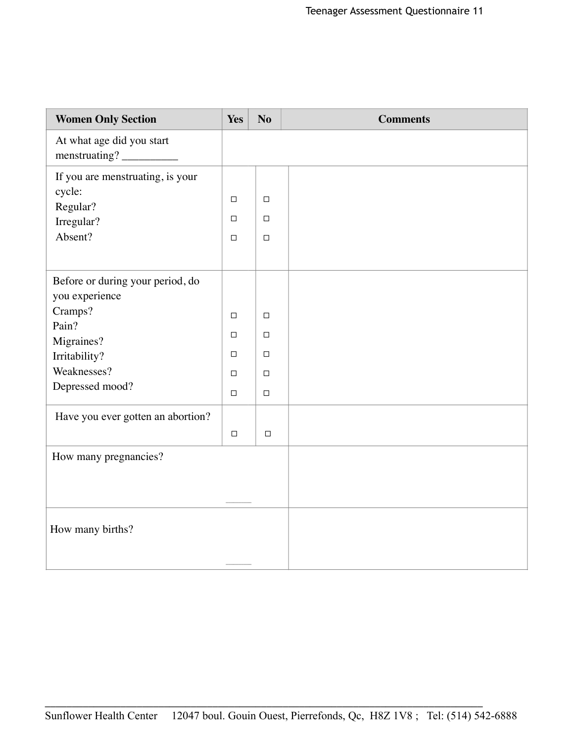| <b>Women Only Section</b>                              | Yes              | N <sub>o</sub>   | <b>Comments</b> |
|--------------------------------------------------------|------------------|------------------|-----------------|
| At what age did you start<br>menstruating?             |                  |                  |                 |
| If you are menstruating, is your<br>cycle:<br>Regular? | $\Box$           | $\Box$           |                 |
| Irregular?<br>Absent?                                  | $\Box$<br>$\Box$ | $\Box$<br>$\Box$ |                 |
|                                                        |                  |                  |                 |
| Before or during your period, do<br>you experience     |                  |                  |                 |
| Cramps?<br>Pain?                                       | $\Box$           | $\Box$           |                 |
| Migraines?                                             | □                | $\Box$           |                 |
| Irritability?<br>Weaknesses?                           | $\Box$<br>$\Box$ | $\Box$<br>$\Box$ |                 |
| Depressed mood?                                        | $\Box$           | $\Box$           |                 |
| Have you ever gotten an abortion?                      | $\Box$           | $\Box$           |                 |
| How many pregnancies?                                  |                  |                  |                 |
|                                                        |                  |                  |                 |
| How many births?                                       |                  |                  |                 |
|                                                        |                  |                  |                 |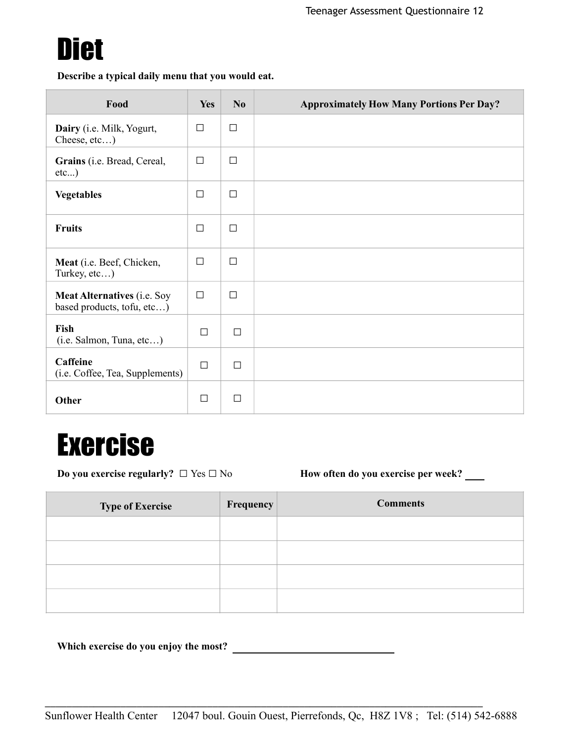

**Describe a typical daily menu that you would eat.**

| Food                                                             | <b>Yes</b> | No.    | <b>Approximately How Many Portions Per Day?</b> |
|------------------------------------------------------------------|------------|--------|-------------------------------------------------|
| Dairy (i.e. Milk, Yogurt,<br>Cheese, etc)                        | $\Box$     | $\Box$ |                                                 |
| Grains (i.e. Bread, Cereal,<br>etc)                              | $\Box$     | □      |                                                 |
| <b>Vegetables</b>                                                | $\Box$     | П      |                                                 |
| <b>Fruits</b>                                                    | $\Box$     | П      |                                                 |
| Meat (i.e. Beef, Chicken,<br>Turkey, etc)                        | $\Box$     | $\Box$ |                                                 |
| <b>Meat Alternatives (i.e. Soy</b><br>based products, tofu, etc) | $\Box$     | П      |                                                 |
| Fish<br>(i.e. Salmon, Tuna, etc)                                 | $\Box$     | $\Box$ |                                                 |
| <b>Caffeine</b><br>(i.e. Coffee, Tea, Supplements)               | $\Box$     | $\Box$ |                                                 |
| Other                                                            | $\Box$     | $\Box$ |                                                 |

### Exercise

**Do you exercise regularly?** □ Yes □ No **How often do you exercise per week?** \_\_\_\_

| <b>Type of Exercise</b> | Frequency | <b>Comments</b> |
|-------------------------|-----------|-----------------|
|                         |           |                 |
|                         |           |                 |
|                         |           |                 |
|                         |           |                 |

**Which exercise do you enjoy the most?**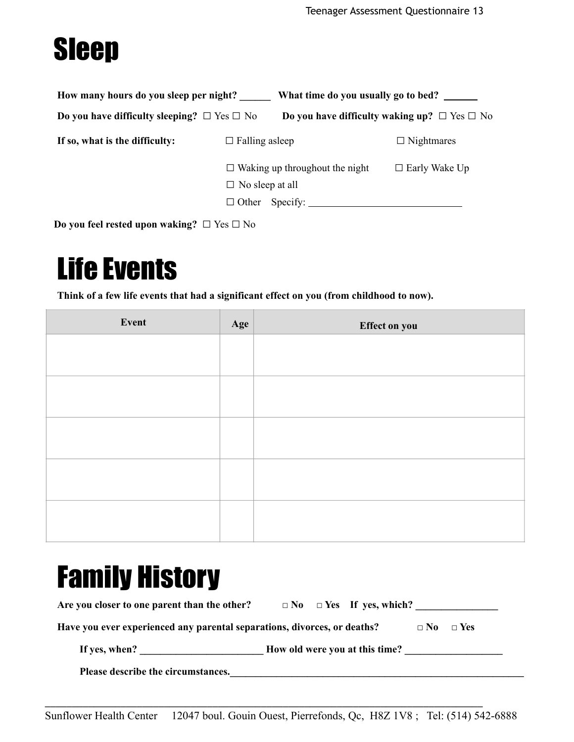## Sleep

| How many hours do you sleep per night?                |                        | What time do you usually go to bed?                    |                      |  |  |
|-------------------------------------------------------|------------------------|--------------------------------------------------------|----------------------|--|--|
| Do you have difficulty sleeping? $\Box$ Yes $\Box$ No |                        | Do you have difficulty waking up? $\Box$ Yes $\Box$ No |                      |  |  |
| If so, what is the difficulty:                        | $\Box$ Falling as leep |                                                        | $\Box$ Nightmares    |  |  |
|                                                       | $\Box$ No sleep at all | $\Box$ Waking up throughout the night                  | $\Box$ Early Wake Up |  |  |

**Do you feel rested upon waking? □** Yes **□** No

### Life Events

**Think of a few life events that had a significant effect on you (from childhood to now).**

| Event | Age | Effect on you |
|-------|-----|---------------|
|       |     |               |
|       |     |               |
|       |     |               |
|       |     |               |
|       |     |               |
|       |     |               |
|       |     |               |
|       |     |               |
|       |     |               |
|       |     |               |

### Family History

| Are you closer to one parent than the other?                             | $\Box$ No $\Box$ Yes If yes, which? |  |
|--------------------------------------------------------------------------|-------------------------------------|--|
| Have you ever experienced any parental separations, divorces, or deaths? | $\Box$ No $\Box$ Yes                |  |
| If yes, when?                                                            | How old were you at this time?      |  |
| Please describe the circumstances.                                       |                                     |  |

Sunflower Health Center 12047 boul. Gouin Ouest, Pierrefonds, Qc, H8Z 1V8 ; Tel: (514) 542-6888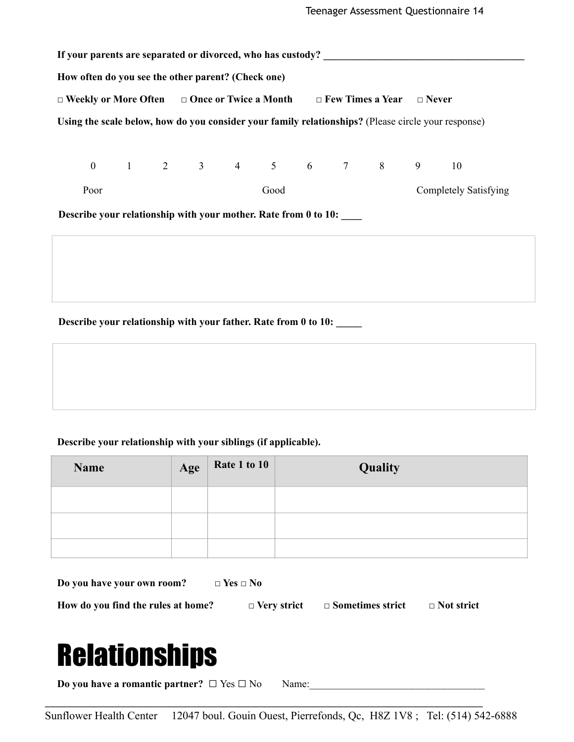|                                                                 | If your parents are separated or divorced, who has custody?                                   |  |  |  |  |                        |  |  |  |                              |                                                                                                     |
|-----------------------------------------------------------------|-----------------------------------------------------------------------------------------------|--|--|--|--|------------------------|--|--|--|------------------------------|-----------------------------------------------------------------------------------------------------|
| How often do you see the other parent? (Check one)              |                                                                                               |  |  |  |  |                        |  |  |  |                              |                                                                                                     |
|                                                                 | $\Box$ Weekly or More Often $\Box$ Once or Twice a Month $\Box$ Few Times a Year $\Box$ Never |  |  |  |  |                        |  |  |  |                              |                                                                                                     |
|                                                                 |                                                                                               |  |  |  |  |                        |  |  |  |                              | Using the scale below, how do you consider your family relationships? (Please circle your response) |
|                                                                 |                                                                                               |  |  |  |  |                        |  |  |  |                              |                                                                                                     |
|                                                                 |                                                                                               |  |  |  |  | 0 1 2 3 4 5 6 7 8 9 10 |  |  |  |                              |                                                                                                     |
|                                                                 | Poor<br>Good                                                                                  |  |  |  |  |                        |  |  |  | <b>Completely Satisfying</b> |                                                                                                     |
| Describe your relationship with your mother. Rate from 0 to 10: |                                                                                               |  |  |  |  |                        |  |  |  |                              |                                                                                                     |
|                                                                 |                                                                                               |  |  |  |  |                        |  |  |  |                              |                                                                                                     |
|                                                                 |                                                                                               |  |  |  |  |                        |  |  |  |                              |                                                                                                     |
|                                                                 |                                                                                               |  |  |  |  |                        |  |  |  |                              |                                                                                                     |
|                                                                 |                                                                                               |  |  |  |  |                        |  |  |  |                              |                                                                                                     |

**Describe your relationship with your father. Rate from 0 to 10: \_\_\_\_\_**

#### **Describe your relationship with your siblings (if applicable).**

| Name | Age | Rate 1 to 10 | Quality |
|------|-----|--------------|---------|
|      |     |              |         |
|      |     |              |         |
|      |     |              |         |

**Do you have your own room? □ Yes □ No How do you find the rules at home? □ Very strict □ Sometimes strict □ Not strict Relationships Do you have a romantic partner?**  $\Box$  Yes  $\Box$  No Name:

\_\_\_\_\_\_\_\_\_\_\_\_\_\_\_\_\_\_\_\_\_\_\_\_\_\_\_\_\_\_\_\_\_\_\_\_\_\_\_\_\_\_\_\_\_\_\_\_\_\_\_\_\_\_\_\_\_\_\_\_\_\_\_\_\_\_\_\_\_\_\_\_\_\_\_\_\_\_\_\_\_

Sunflower Health Center 12047 boul. Gouin Ouest, Pierrefonds, Qc, H8Z 1V8 ; Tel: (514) 542-6888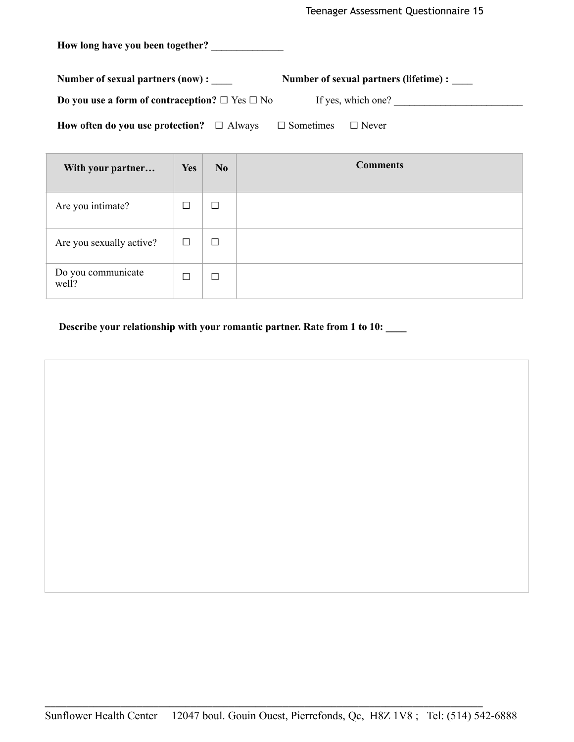**How long have you been together?** \_\_\_\_\_\_\_\_\_\_\_\_\_\_

**Number of sexual partners (now) :** \_\_\_\_ **Number of sexual partners (lifetime) :** \_\_\_\_

**Do you use a form of contraception? □** Yes **□** No If yes, which one? \_\_\_\_\_\_\_\_\_\_\_\_\_\_\_\_\_\_\_\_\_\_\_\_\_

**How often do you use protection? □** Always **□** Sometimes **□** Never

| With your partner           | <b>Yes</b> | No     | <b>Comments</b> |
|-----------------------------|------------|--------|-----------------|
| Are you intimate?           | П          | $\Box$ |                 |
| Are you sexually active?    | □          | $\Box$ |                 |
| Do you communicate<br>well? | П          | $\Box$ |                 |

 **Describe your relationship with your romantic partner. Rate from 1 to 10: \_\_\_\_**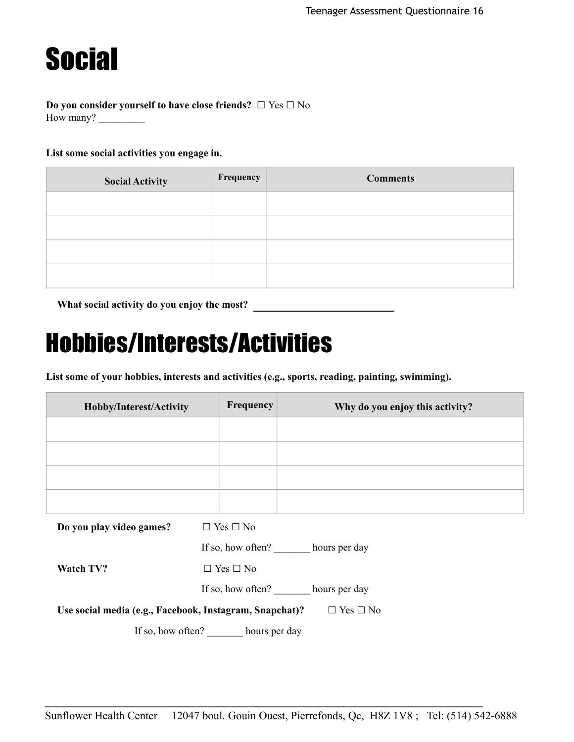### **Social**

#### **Do you consider yourself to have close friends? □** Yes **□** No How many?

#### **List some social activities you engage in.**

| <b>Social Activity</b> | Frequency | <b>Comments</b> |
|------------------------|-----------|-----------------|
|                        |           |                 |
|                        |           |                 |
|                        |           |                 |
|                        |           |                 |

**What social activity do you enjoy the most?** 

### Hobbies/Interests/Activities

**List some of your hobbies, interests and activities (e.g., sports, reading, painting, swimming).**

| Hobby/Interest/Activity  | Frequency            | Why do you enjoy this activity? |
|--------------------------|----------------------|---------------------------------|
|                          |                      |                                 |
|                          |                      |                                 |
|                          |                      |                                 |
|                          |                      |                                 |
| Do you play video games? | $\Box$ Yes $\Box$ No |                                 |

|  |  | Do you play video games? |  | $\Box$ Yes $\Box$ No |  |
|--|--|--------------------------|--|----------------------|--|
|  |  |                          |  |                      |  |

If so, how often? hours per day

**Watch TV? □** Yes **□** No

If so, how often? hours per day

**Use social media (e.g., Facebook, Instagram, Snapchat)? □** Yes **□** No

If so, how often? \_\_\_\_\_\_\_ hours per day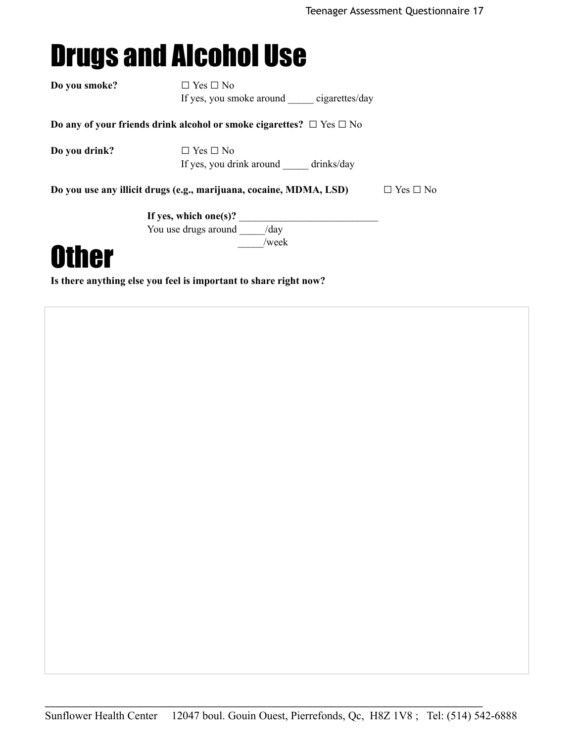### Drugs and Alcohol Use

| Do you smoke? | $\Box$ Yes $\Box$ No                                                                       |
|---------------|--------------------------------------------------------------------------------------------|
|               | If yes, you smoke around cigarettes/day                                                    |
|               | Do any of your friends drink alcohol or smoke cigarettes? $\Box$ Yes $\Box$ No             |
| Do you drink? | $\Box$ Yes $\Box$ No<br>If yes, you drink around drinks/day                                |
|               | Do you use any illicit drugs (e.g., marijuana, cocaine, MDMA, LSD)<br>$\Box$ Yes $\Box$ No |
|               | If yes, which one(s)?                                                                      |
|               | You use drugs around /day                                                                  |
| <b>Other</b>  | /week                                                                                      |

**Is there anything else you feel is important to share right now?**